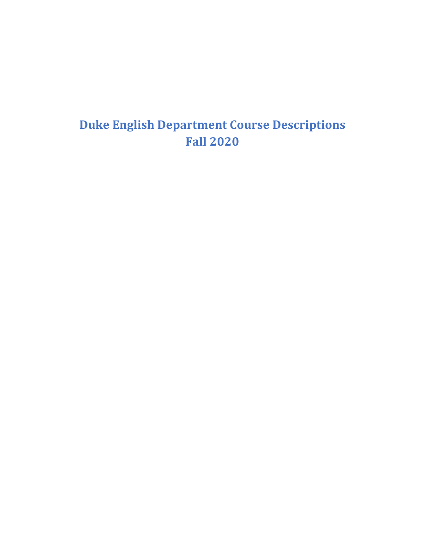# **Duke English Department Course Descriptions Fall 2020**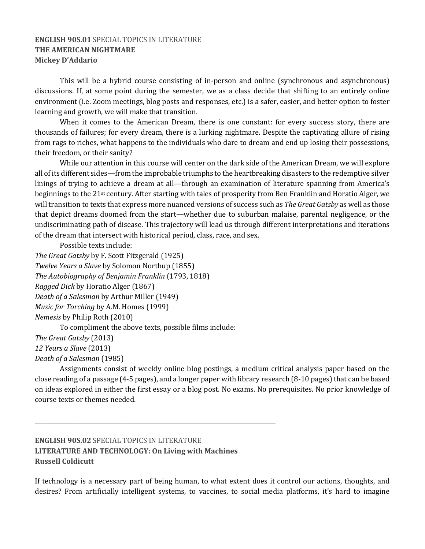# **ENGLISH 90S.01 SPECIAL TOPICS IN LITERATURE THE AMERICAN NIGHTMARE Mickey D'Addario**

This will be a hybrid course consisting of in-person and online (synchronous and asynchronous) discussions. If, at some point during the semester, we as a class decide that shifting to an entirely online environment (i.e. Zoom meetings, blog posts and responses, etc.) is a safer, easier, and better option to foster learning and growth, we will make that transition.

When it comes to the American Dream, there is one constant: for every success story, there are thousands of failures; for every dream, there is a lurking nightmare. Despite the captivating allure of rising from rags to riches, what happens to the individuals who dare to dream and end up losing their possessions, their freedom, or their sanity?

While our attention in this course will center on the dark side of the American Dream, we will explore all of its different sides—from the improbable triumphs to the heartbreaking disasters to the redemptive silver linings of trying to achieve a dream at all—through an examination of literature spanning from America's beginnings to the 21<sup>st</sup> century. After starting with tales of prosperity from Ben Franklin and Horatio Alger, we will transition to texts that express more nuanced versions of success such as *The Great Gatsby* as well as those that depict dreams doomed from the start—whether due to suburban malaise, parental negligence, or the undiscriminating path of disease. This trajectory will lead us through different interpretations and iterations of the dream that intersect with historical period, class, race, and sex.

Possible texts include:

```
The Great Gatsby by F. Scott Fitzgerald (1925)
Twelve Years a Slave by Solomon Northup (1855)
The Autobiography of Benjamin Franklin (1793, 1818)
Ragged Dick by Horatio Alger (1867)
Death of a Salesman by Arthur Miller (1949)
Music for Torching by A.M. Homes (1999)
Nemesis by Philip Roth (2010)
       To compliment the above texts, possible films include:
The	Great	Gatsby (2013)
```
*12 Years a Slave* (2013) *Death of a Salesman* (1985)

Assignments consist of weekly online blog postings, a medium critical analysis paper based on the close reading of a passage  $(4-5$  pages), and a longer paper with library research  $(8-10 \text{ pages})$  that can be based on ideas explored in either the first essay or a blog post. No exams. No prerequisites. No prior knowledge of course texts or themes needed.

# **ENGLISH 90S.02** SPECIAL TOPICS IN LITERATURE **LITERATURE AND TECHNOLOGY: On Living with Machines Russell Coldicutt**

**\_\_\_\_\_\_\_\_\_\_\_\_\_\_\_\_\_\_\_\_\_\_\_\_\_\_\_\_\_\_\_\_\_\_\_\_\_\_\_\_\_\_\_\_\_\_\_\_\_\_\_\_\_\_\_\_\_\_\_\_\_\_\_\_\_\_\_\_\_\_\_\_\_\_\_\_\_\_\_\_\_\_\_\_\_**

If technology is a necessary part of being human, to what extent does it control our actions, thoughts, and desires? From artificially intelligent systems, to vaccines, to social media platforms, it's hard to imagine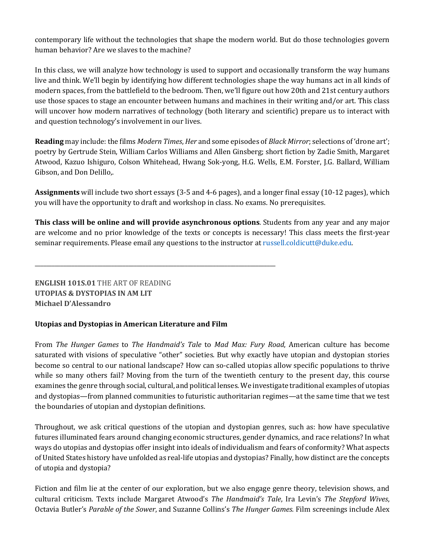contemporary life without the technologies that shape the modern world. But do those technologies govern human behavior? Are we slaves to the machine?

In this class, we will analyze how technology is used to support and occasionally transform the way humans live and think. We'll begin by identifying how different technologies shape the way humans act in all kinds of modern spaces, from the battlefield to the bedroom. Then, we'll figure out how 20th and 21st century authors use those spaces to stage an encounter between humans and machines in their writing and/or art. This class will uncover how modern narratives of technology (both literary and scientific) prepare us to interact with and question technology's involvement in our lives.

**Reading** may include: the films *Modern Times*, *Her* and some episodes of *Black Mirror*; selections of 'drone art'; poetry by Gertrude Stein, William Carlos Williams and Allen Ginsberg; short fiction by Zadie Smith, Margaret Atwood, Kazuo Ishiguro, Colson Whitehead, Hwang Sok-yong, H.G. Wells, E.M. Forster, J.G. Ballard, William Gibson, and Don Delillo,.

**Assignments** will include two short essays (3-5 and 4-6 pages), and a longer final essay (10-12 pages), which you will have the opportunity to draft and workshop in class. No exams. No prerequisites.

**This class will be online and will provide asynchronous options**. Students from any year and any major are welcome and no prior knowledge of the texts or concepts is necessary! This class meets the first-year seminar requirements. Please email any questions to the instructor at russell.coldicutt@duke.edu.

# **ENGLISH 101S.01 THE ART OF READING UTOPIAS & DYSTOPIAS IN AM LIT Michael D'Alessandro**

#### Utopias and Dystopias in American Literature and Film

**\_\_\_\_\_\_\_\_\_\_\_\_\_\_\_\_\_\_\_\_\_\_\_\_\_\_\_\_\_\_\_\_\_\_\_\_\_\_\_\_\_\_\_\_\_\_\_\_\_\_\_\_\_\_\_\_\_\_\_\_\_\_\_\_\_\_\_\_\_\_\_\_\_\_\_\_\_\_\_\_\_\_\_\_\_**

From *The Hunger Games to The Handmaid's Tale to Mad Max: Fury Road, American culture has become* saturated with visions of speculative "other" societies. But why exactly have utopian and dystopian stories become so central to our national landscape? How can so-called utopias allow specific populations to thrive while so many others fail? Moving from the turn of the twentieth century to the present day, this course examines the genre through social, cultural, and political lenses. We investigate traditional examples of utopias and dystopias—from planned communities to futuristic authoritarian regimes—at the same time that we test the boundaries of utopian and dystopian definitions.

Throughout, we ask critical questions of the utopian and dystopian genres, such as: how have speculative futures illuminated fears around changing economic structures, gender dynamics, and race relations? In what ways do utopias and dystopias offer insight into ideals of individualism and fears of conformity? What aspects of United States history have unfolded as real-life utopias and dystopias? Finally, how distinct are the concepts of utopia and dystopia?

Fiction and film lie at the center of our exploration, but we also engage genre theory, television shows, and cultural criticism. Texts include Margaret Atwood's *The Handmaid's Tale*, Ira Levin's *The Stepford Wives*, Octavia Butler's *Parable of the Sower*, and Suzanne Collins's *The Hunger Games*. Film screenings include Alex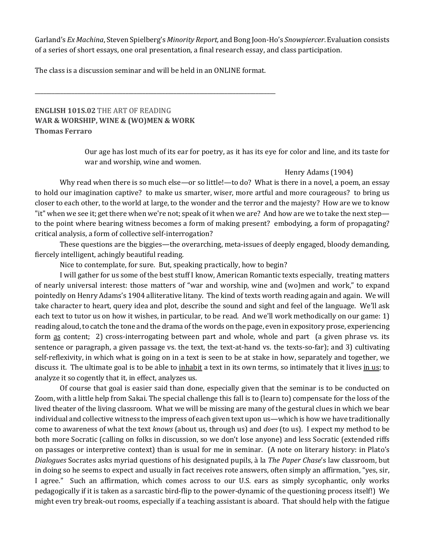Garland's *Ex Machina*, Steven Spielberg's *Minority Report*, and Bong Joon-Ho's Snowpiercer. Evaluation consists of a series of short essays, one oral presentation, a final research essay, and class participation.

The class is a discussion seminar and will be held in an ONLINE format.

**\_\_\_\_\_\_\_\_\_\_\_\_\_\_\_\_\_\_\_\_\_\_\_\_\_\_\_\_\_\_\_\_\_\_\_\_\_\_\_\_\_\_\_\_\_\_\_\_\_\_\_\_\_\_\_\_\_\_\_\_\_\_\_\_\_\_\_\_\_\_\_\_\_\_\_\_\_\_\_\_\_\_\_\_\_**

#### **ENGLISH 101S.02 THE ART OF READING WAR & WORSHIP, WINE & (WO)MEN & WORK Thomas Ferraro**

Our age has lost much of its ear for poetry, as it has its eye for color and line, and its taste for war and worship, wine and women.

#### Henry Adams (1904)

Why read when there is so much else—or so little!—to do? What is there in a novel, a poem, an essay to hold our imagination captive? to make us smarter, wiser, more artful and more courageous? to bring us closer to each other, to the world at large, to the wonder and the terror and the majesty? How are we to know "it" when we see it; get there when we're not; speak of it when we are? And how are we to take the next step to the point where bearing witness becomes a form of making present? embodying, a form of propagating? critical analysis, a form of collective self-interrogation?

These questions are the biggies—the overarching, meta-issues of deeply engaged, bloody demanding, fiercely intelligent, achingly beautiful reading.

Nice to contemplate, for sure. But, speaking practically, how to begin?

I will gather for us some of the best stuff I know, American Romantic texts especially, treating matters of nearly universal interest: those matters of "war and worship, wine and (wo)men and work," to expand pointedly on Henry Adams's 1904 alliterative litany. The kind of texts worth reading again and again. We will take character to heart, query idea and plot, describe the sound and sight and feel of the language. We'll ask each text to tutor us on how it wishes, in particular, to be read. And we'll work methodically on our game: 1) reading aloud, to catch the tone and the drama of the words on the page, even in expository prose, experiencing form as content; 2) cross-interrogating between part and whole, whole and part (a given phrase vs. its sentence or paragraph, a given passage vs. the text, the text-at-hand vs. the texts-so-far); and 3) cultivating self-reflexivity, in which what is going on in a text is seen to be at stake in how, separately and together, we discuss it. The ultimate goal is to be able to inhabit a text in its own terms, so intimately that it lives in us; to analyze it so cogently that it, in effect, analyzes us.

Of course that goal is easier said than done, especially given that the seminar is to be conducted on Zoom, with a little help from Sakai. The special challenge this fall is to (learn to) compensate for the loss of the lived theater of the living classroom. What we will be missing are many of the gestural clues in which we bear individual and collective witness to the impress of each given text upon us—which is how we have traditionally come to awareness of what the text *knows* (about us, through us) and *does* (to us). I expect my method to be both more Socratic (calling on folks in discussion, so we don't lose anyone) and less Socratic (extended riffs on passages or interpretive context) than is usual for me in seminar. (A note on literary history: in Plato's *Dialogues* Socrates asks myriad questions of his designated pupils, à la *The Paper Chase's* law classroom, but in doing so he seems to expect and usually in fact receives rote answers, often simply an affirmation, "yes, sir, I agree." Such an affirmation, which comes across to our U.S. ears as simply sycophantic, only works pedagogically if it is taken as a sarcastic bird-flip to the power-dynamic of the questioning process itself!) We might even try break-out rooms, especially if a teaching assistant is aboard. That should help with the fatigue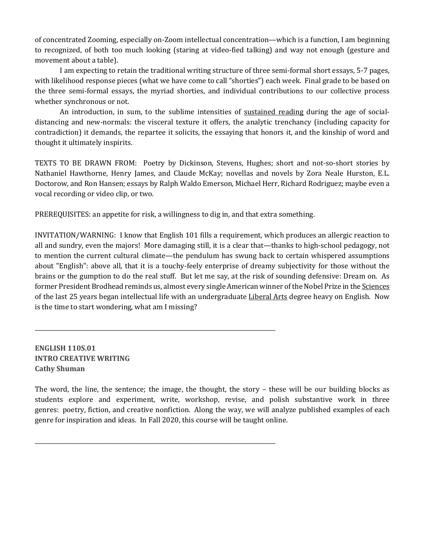of concentrated Zooming, especially on-Zoom intellectual concentration—which is a function, I am beginning to recognized, of both too much looking (staring at video-fied talking) and way not enough (gesture and movement about a table).

I am expecting to retain the traditional writing structure of three semi-formal short essays, 5-7 pages, with likelihood response pieces (what we have come to call "shorties") each week. Final grade to be based on the three semi-formal essays, the myriad shorties, and individual contributions to our collective process whether synchronous or not.

An introduction, in sum, to the sublime intensities of sustained reading during the age of socialdistancing and new-normals: the visceral texture it offers, the analytic trenchancy (including capacity for contradiction) it demands, the repartee it solicits, the essaying that honors it, and the kinship of word and thought it ultimately inspirits.

TEXTS TO BE DRAWN FROM: Poetry by Dickinson, Stevens, Hughes; short and not-so-short stories by Nathaniel Hawthorne, Henry James, and Claude McKay; novellas and novels by Zora Neale Hurston, E.L. Doctorow, and Ron Hansen; essays by Ralph Waldo Emerson, Michael Herr, Richard Rodriguez; maybe even a vocal recording or video clip, or two.

PREREQUISITES: an appetite for risk, a willingness to dig in, and that extra something.

**\_\_\_\_\_\_\_\_\_\_\_\_\_\_\_\_\_\_\_\_\_\_\_\_\_\_\_\_\_\_\_\_\_\_\_\_\_\_\_\_\_\_\_\_\_\_\_\_\_\_\_\_\_\_\_\_\_\_\_\_\_\_\_\_\_\_\_\_\_\_\_\_\_\_\_\_\_\_\_\_\_\_\_\_\_**

**\_\_\_\_\_\_\_\_\_\_\_\_\_\_\_\_\_\_\_\_\_\_\_\_\_\_\_\_\_\_\_\_\_\_\_\_\_\_\_\_\_\_\_\_\_\_\_\_\_\_\_\_\_\_\_\_\_\_\_\_\_\_\_\_\_\_\_\_\_\_\_\_\_\_\_\_\_\_\_\_\_\_\_\_\_**

INVITATION/WARNING: I know that English 101 fills a requirement, which produces an allergic reaction to all and sundry, even the majors! More damaging still, it is a clear that—thanks to high-school pedagogy, not to mention the current cultural climate—the pendulum has swung back to certain whispered assumptions about "English": above all, that it is a touchy-feely enterprise of dreamy subjectivity for those without the brains or the gumption to do the real stuff. But let me say, at the risk of sounding defensive: Dream on. As former President Brodhead reminds us, almost every single American winner of the Nobel Prize in the Sciences of the last 25 years began intellectual life with an undergraduate Liberal Arts degree heavy on English. Now is the time to start wondering, what am I missing?

**ENGLISH 110S.01 INTRO CREATIVE WRITING Cathy Shuman**

The word, the line, the sentence; the image, the thought, the story – these will be our building blocks as students explore and experiment, write, workshop, revise, and polish substantive work in three genres: poetry, fiction, and creative nonfiction. Along the way, we will analyze published examples of each genre for inspiration and ideas. In Fall 2020, this course will be taught online.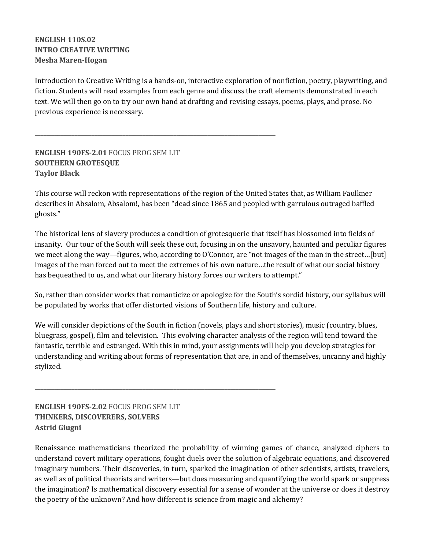**ENGLISH 110S.02 INTRO CREATIVE WRITING Mesha Maren-Hogan**

Introduction to Creative Writing is a hands-on, interactive exploration of nonfiction, poetry, playwriting, and fiction. Students will read examples from each genre and discuss the craft elements demonstrated in each text. We will then go on to try our own hand at drafting and revising essays, poems, plays, and prose. No previous experience is necessary.

**ENGLISH 190FS-2.01 FOCUS PROG SEM LIT SOUTHERN GROTESQUE Taylor Black**

**\_\_\_\_\_\_\_\_\_\_\_\_\_\_\_\_\_\_\_\_\_\_\_\_\_\_\_\_\_\_\_\_\_\_\_\_\_\_\_\_\_\_\_\_\_\_\_\_\_\_\_\_\_\_\_\_\_\_\_\_\_\_\_\_\_\_\_\_\_\_\_\_\_\_\_\_\_\_\_\_\_\_\_\_\_**

**\_\_\_\_\_\_\_\_\_\_\_\_\_\_\_\_\_\_\_\_\_\_\_\_\_\_\_\_\_\_\_\_\_\_\_\_\_\_\_\_\_\_\_\_\_\_\_\_\_\_\_\_\_\_\_\_\_\_\_\_\_\_\_\_\_\_\_\_\_\_\_\_\_\_\_\_\_\_\_\_\_\_\_\_\_**

This course will reckon with representations of the region of the United States that, as William Faulkner describes in Absalom, Absalom!, has been "dead since 1865 and peopled with garrulous outraged baffled ghosts."

The historical lens of slavery produces a condition of grotesquerie that itself has blossomed into fields of insanity. Our tour of the South will seek these out, focusing in on the unsavory, haunted and peculiar figures we meet along the way—figures, who, according to O'Connor, are "not images of the man in the street...[but] images of the man forced out to meet the extremes of his own nature...the result of what our social history has bequeathed to us, and what our literary history forces our writers to attempt."

So, rather than consider works that romanticize or apologize for the South's sordid history, our syllabus will be populated by works that offer distorted visions of Southern life, history and culture.

We will consider depictions of the South in fiction (novels, plays and short stories), music (country, blues, bluegrass, gospel), film and television. This evolving character analysis of the region will tend toward the fantastic, terrible and estranged. With this in mind, your assignments will help you develop strategies for understanding and writing about forms of representation that are, in and of themselves, uncanny and highly stylized.

**ENGLISH 190FS-2.02 FOCUS PROG SEM LIT THINKERS, DISCOVERERS, SOLVERS Astrid Giugni**

Renaissance mathematicians theorized the probability of winning games of chance, analyzed ciphers to understand covert military operations, fought duels over the solution of algebraic equations, and discovered imaginary numbers. Their discoveries, in turn, sparked the imagination of other scientists, artists, travelers, as well as of political theorists and writers—but does measuring and quantifying the world spark or suppress the imagination? Is mathematical discovery essential for a sense of wonder at the universe or does it destroy the poetry of the unknown? And how different is science from magic and alchemy?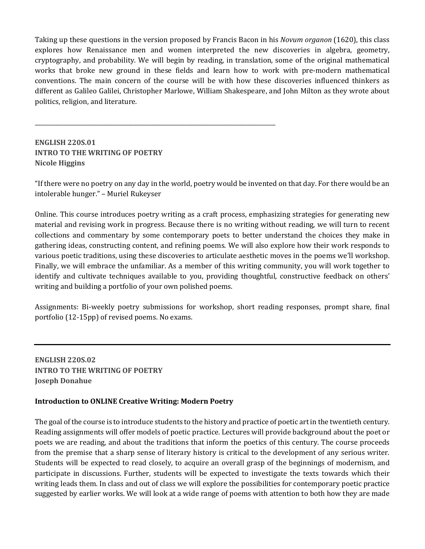Taking up these questions in the version proposed by Francis Bacon in his *Novum organon* (1620), this class explores how Renaissance men and women interpreted the new discoveries in algebra, geometry, cryptography, and probability. We will begin by reading, in translation, some of the original mathematical works that broke new ground in these fields and learn how to work with pre-modern mathematical conventions. The main concern of the course will be with how these discoveries influenced thinkers as different as Galileo Galilei, Christopher Marlowe, William Shakespeare, and John Milton as they wrote about politics, religion, and literature.

# **ENGLISH 220S.01 INTRO TO THE WRITING OF POETRY Nicole Higgins**

**\_\_\_\_\_\_\_\_\_\_\_\_\_\_\_\_\_\_\_\_\_\_\_\_\_\_\_\_\_\_\_\_\_\_\_\_\_\_\_\_\_\_\_\_\_\_\_\_\_\_\_\_\_\_\_\_\_\_\_\_\_\_\_\_\_\_\_\_\_\_\_\_\_\_\_\_\_\_\_\_\_\_\_\_\_**

"If there were no poetry on any day in the world, poetry would be invented on that day. For there would be an intolerable hunger." - Muriel Rukeyser

Online. This course introduces poetry writing as a craft process, emphasizing strategies for generating new material and revising work in progress. Because there is no writing without reading, we will turn to recent collections and commentary by some contemporary poets to better understand the choices they make in gathering ideas, constructing content, and refining poems. We will also explore how their work responds to various poetic traditions, using these discoveries to articulate aesthetic moves in the poems we'll workshop. Finally, we will embrace the unfamiliar. As a member of this writing community, you will work together to identify and cultivate techniques available to you, providing thoughtful, constructive feedback on others' writing and building a portfolio of your own polished poems.

Assignments: Bi-weekly poetry submissions for workshop, short reading responses, prompt share, final portfolio  $(12-15pp)$  of revised poems. No exams.

**ENGLISH 220S.02 INTRO TO THE WRITING OF POETRY Joseph Donahue** 

#### **Introduction to ONLINE Creative Writing: Modern Poetry**

The goal of the course is to introduce students to the history and practice of poetic art in the twentieth century. Reading assignments will offer models of poetic practice. Lectures will provide background about the poet or poets we are reading, and about the traditions that inform the poetics of this century. The course proceeds from the premise that a sharp sense of literary history is critical to the development of any serious writer. Students will be expected to read closely, to acquire an overall grasp of the beginnings of modernism, and participate in discussions. Further, students will be expected to investigate the texts towards which their writing leads them. In class and out of class we will explore the possibilities for contemporary poetic practice suggested by earlier works. We will look at a wide range of poems with attention to both how they are made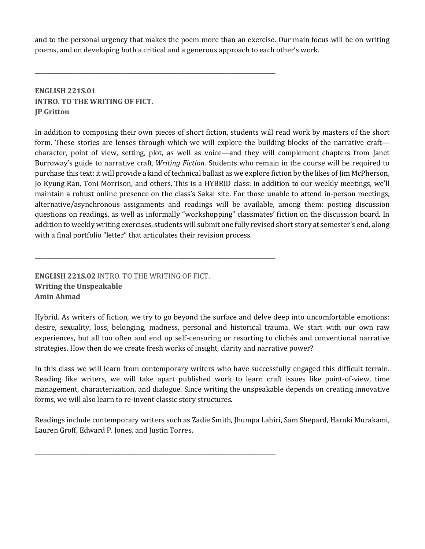and to the personal urgency that makes the poem more than an exercise. Our main focus will be on writing poems, and on developing both a critical and a generous approach to each other's work.

**\_\_\_\_\_\_\_\_\_\_\_\_\_\_\_\_\_\_\_\_\_\_\_\_\_\_\_\_\_\_\_\_\_\_\_\_\_\_\_\_\_\_\_\_\_\_\_\_\_\_\_\_\_\_\_\_\_\_\_\_\_\_\_\_\_\_\_\_\_\_\_\_\_\_\_\_\_\_\_\_\_\_\_\_\_**

**\_\_\_\_\_\_\_\_\_\_\_\_\_\_\_\_\_\_\_\_\_\_\_\_\_\_\_\_\_\_\_\_\_\_\_\_\_\_\_\_\_\_\_\_\_\_\_\_\_\_\_\_\_\_\_\_\_\_\_\_\_\_\_\_\_\_\_\_\_\_\_\_\_\_\_\_\_\_\_\_\_\_\_\_\_**

**\_\_\_\_\_\_\_\_\_\_\_\_\_\_\_\_\_\_\_\_\_\_\_\_\_\_\_\_\_\_\_\_\_\_\_\_\_\_\_\_\_\_\_\_\_\_\_\_\_\_\_\_\_\_\_\_\_\_\_\_\_\_\_\_\_\_\_\_\_\_\_\_\_\_\_\_\_\_\_\_\_\_\_\_\_**

#### **ENGLISH 221S.01 INTRO. TO THE WRITING OF FICT. JP Gritton**

In addition to composing their own pieces of short fiction, students will read work by masters of the short form. These stories are lenses through which we will explore the building blocks of the narrative craft character, point of view, setting, plot, as well as voice—and they will complement chapters from Janet Burroway's guide to narrative craft, *Writing Fiction*. Students who remain in the course will be required to purchase this text; it will provide a kind of technical ballast as we explore fiction by the likes of Jim McPherson, Jo Kyung Ran, Toni Morrison, and others. This is a HYBRID class: in addition to our weekly meetings, we'll maintain a robust online presence on the class's Sakai site. For those unable to attend in-person meetings, alternative/asynchronous assignments and readings will be available, among them: posting discussion questions on readings, as well as informally "workshopping" classmates' fiction on the discussion board. In addition to weekly writing exercises, students will submit one fully revised short story at semester's end, along with a final portfolio "letter" that articulates their revision process.

**ENGLISH 221S.02 INTRO. TO THE WRITING OF FICT. Writing the Unspeakable Amin Ahmad**

Hybrid. As writers of fiction, we try to go beyond the surface and delve deep into uncomfortable emotions: desire, sexuality, loss, belonging, madness, personal and historical trauma. We start with our own raw experiences, but all too often and end up self-censoring or resorting to clichés and conventional narrative strategies. How then do we create fresh works of insight, clarity and narrative power?

In this class we will learn from contemporary writers who have successfully engaged this difficult terrain. Reading like writers, we will take apart published work to learn craft issues like point-of-view, time management, characterization, and dialogue. Since writing the unspeakable depends on creating innovative forms, we will also learn to re-invent classic story structures.

Readings include contemporary writers such as Zadie Smith, Jhumpa Lahiri, Sam Shepard, Haruki Murakami, Lauren Groff, Edward P. Jones, and Justin Torres.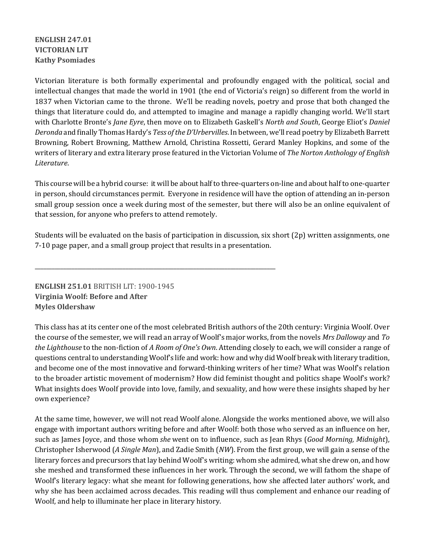# **ENGLISH 247.01 VICTORIAN LIT Kathy Psomiades**

Victorian literature is both formally experimental and profoundly engaged with the political, social and intellectual changes that made the world in 1901 (the end of Victoria's reign) so different from the world in 1837 when Victorian came to the throne. We'll be reading novels, poetry and prose that both changed the things that literature could do, and attempted to imagine and manage a rapidly changing world. We'll start with Charlotte Bronte's *Jane Eyre*, then move on to Elizabeth Gaskell's *North and South*, George Eliot's *Daniel Deronda* and finally Thomas Hardy's *Tess of the D'Urbervilles*. In between, we'll read poetry by Elizabeth Barrett Browning, Robert Browning, Matthew Arnold, Christina Rossetti, Gerard Manley Hopkins, and some of the writers of literary and extra literary prose featured in the Victorian Volume of *The Norton Anthology of English Literature*. 

This course will be a hybrid course: it will be about half to three-quarters on-line and about half to one-quarter in person, should circumstances permit. Everyone in residence will have the option of attending an in-person small group session once a week during most of the semester, but there will also be an online equivalent of that session, for anyone who prefers to attend remotely.

Students will be evaluated on the basis of participation in discussion, six short  $(2p)$  written assignments, one 7-10 page paper, and a small group project that results in a presentation.

**ENGLISH 251.01 BRITISH LIT: 1900-1945 Virginia Woolf: Before and After Myles Oldershaw**

**\_\_\_\_\_\_\_\_\_\_\_\_\_\_\_\_\_\_\_\_\_\_\_\_\_\_\_\_\_\_\_\_\_\_\_\_\_\_\_\_\_\_\_\_\_\_\_\_\_\_\_\_\_\_\_\_\_\_\_\_\_\_\_\_\_\_\_\_\_\_\_\_\_\_\_\_\_\_\_\_\_\_\_\_\_**

This class has at its center one of the most celebrated British authors of the 20th century: Virginia Woolf. Over the course of the semester, we will read an array of Woolf's major works, from the novels *Mrs Dalloway* and *To the Lighthouse* to the non-fiction of *A* Room of One's Own. Attending closely to each, we will consider a range of questions central to understanding Woolf's life and work: how and why did Woolf break with literary tradition, and become one of the most innovative and forward-thinking writers of her time? What was Woolf's relation to the broader artistic movement of modernism? How did feminist thought and politics shape Woolf's work? What insights does Woolf provide into love, family, and sexuality, and how were these insights shaped by her own experience?

At the same time, however, we will not read Woolf alone. Alongside the works mentioned above, we will also engage with important authors writing before and after Woolf: both those who served as an influence on her, such as James Joyce, and those whom *she* went on to influence, such as Jean Rhys (*Good Morning, Midnight*), Christopher Isherwood (*A* Single Man), and Zadie Smith (*NW*). From the first group, we will gain a sense of the literary forces and precursors that lay behind Woolf's writing: whom she admired, what she drew on, and how she meshed and transformed these influences in her work. Through the second, we will fathom the shape of Woolf's literary legacy: what she meant for following generations, how she affected later authors' work, and why she has been acclaimed across decades. This reading will thus complement and enhance our reading of Woolf, and help to illuminate her place in literary history.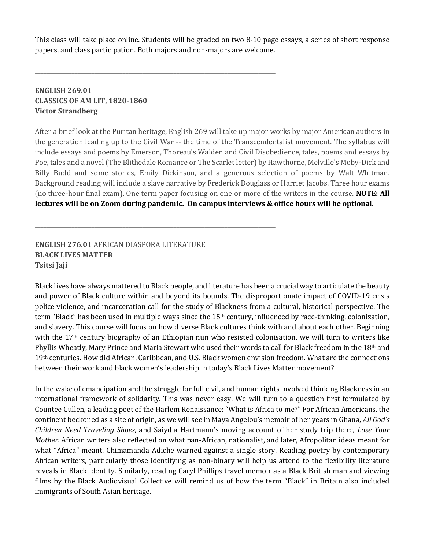This class will take place online. Students will be graded on two 8-10 page essays, a series of short response papers, and class participation. Both majors and non-majors are welcome.

**\_\_\_\_\_\_\_\_\_\_\_\_\_\_\_\_\_\_\_\_\_\_\_\_\_\_\_\_\_\_\_\_\_\_\_\_\_\_\_\_\_\_\_\_\_\_\_\_\_\_\_\_\_\_\_\_\_\_\_\_\_\_\_\_\_\_\_\_\_\_\_\_\_\_\_\_\_\_\_\_\_\_\_\_\_**

**\_\_\_\_\_\_\_\_\_\_\_\_\_\_\_\_\_\_\_\_\_\_\_\_\_\_\_\_\_\_\_\_\_\_\_\_\_\_\_\_\_\_\_\_\_\_\_\_\_\_\_\_\_\_\_\_\_\_\_\_\_\_\_\_\_\_\_\_\_\_\_\_\_\_\_\_\_\_\_\_\_\_\_\_\_**

#### **ENGLISH 269.01 CLASSICS OF AM LIT, 1820-1860 Victor Strandberg**

After a brief look at the Puritan heritage, English 269 will take up major works by major American authors in the generation leading up to the Civil War -- the time of the Transcendentalist movement. The syllabus will include essays and poems by Emerson, Thoreau's Walden and Civil Disobedience, tales, poems and essays by Poe, tales and a novel (The Blithedale Romance or The Scarlet letter) by Hawthorne, Melville's Moby-Dick and Billy Budd and some stories, Emily Dickinson, and a generous selection of poems by Walt Whitman. Background reading will include a slave narrative by Frederick Douglass or Harriet Jacobs. Three hour exams (no three-hour final exam). One term paper focusing on one or more of the writers in the course. **NOTE: All lectures will be on Zoom during pandemic. On campus interviews & office hours will be optional.** 

**ENGLISH 276.01 AFRICAN DIASPORA LITERATURE BLACK LIVES MATTER Tsitsi Jaji**

Black lives have always mattered to Black people, and literature has been a crucial way to articulate the beauty and power of Black culture within and beyond its bounds. The disproportionate impact of COVID-19 crisis police violence, and incarceration call for the study of Blackness from a cultural, historical perspective. The term "Black" has been used in multiple ways since the 15<sup>th</sup> century, influenced by race-thinking, colonization, and slavery. This course will focus on how diverse Black cultures think with and about each other. Beginning with the  $17<sup>th</sup>$  century biography of an Ethiopian nun who resisted colonisation, we will turn to writers like Phyllis Wheatly, Mary Prince and Maria Stewart who used their words to call for Black freedom in the 18<sup>th</sup> and 19th centuries. How did African, Caribbean, and U.S. Black women envision freedom. What are the connections between their work and black women's leadership in today's Black Lives Matter movement?

In the wake of emancipation and the struggle for full civil, and human rights involved thinking Blackness in an international framework of solidarity. This was never easy. We will turn to a question first formulated by Countee Cullen, a leading poet of the Harlem Renaissance: "What is Africa to me?" For African Americans, the continent beckoned as a site of origin, as we will see in Maya Angelou's memoir of her years in Ghana, *All God's Children Need Traveling Shoes,* and Saiydia Hartmann's moving account of her study trip there, *Lose Your Mother.* African writers also reflected on what pan-African, nationalist, and later, Afropolitan ideas meant for what "Africa" meant. Chimamanda Adiche warned against a single story. Reading poetry by contemporary African writers, particularly those identifying as non-binary will help us attend to the flexibility literature reveals in Black identity. Similarly, reading Caryl Phillips travel memoir as a Black British man and viewing films by the Black Audiovisual Collective will remind us of how the term "Black" in Britain also included immigrants of South Asian heritage.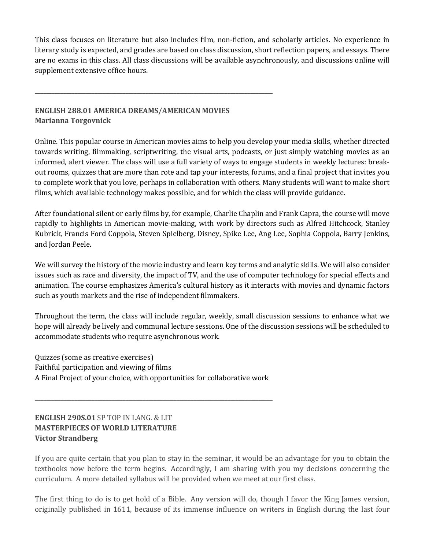This class focuses on literature but also includes film, non-fiction, and scholarly articles. No experience in literary study is expected, and grades are based on class discussion, short reflection papers, and essays. There are no exams in this class. All class discussions will be available asynchronously, and discussions online will supplement extensive office hours.

#### **ENGLISH 288.01 AMERICA DREAMS/AMERICAN MOVIES Marianna Torgovnick**

**\_\_\_\_\_\_\_\_\_\_\_\_\_\_\_\_\_\_\_\_\_\_\_\_\_\_\_\_\_\_\_\_\_\_\_\_\_\_\_\_\_\_\_\_\_\_\_\_\_\_\_\_\_\_\_\_\_\_\_\_\_\_\_\_\_\_\_\_\_\_\_\_\_\_\_\_\_\_\_\_\_\_\_\_**

Online. This popular course in American movies aims to help you develop your media skills, whether directed towards writing, filmmaking, scriptwriting, the visual arts, podcasts, or just simply watching movies as an informed, alert viewer. The class will use a full variety of ways to engage students in weekly lectures: breakout rooms, quizzes that are more than rote and tap your interests, forums, and a final project that invites you to complete work that you love, perhaps in collaboration with others. Many students will want to make short films, which available technology makes possible, and for which the class will provide guidance.

After foundational silent or early films by, for example, Charlie Chaplin and Frank Capra, the course will move rapidly to highlights in American movie-making, with work by directors such as Alfred Hitchcock, Stanley Kubrick, Francis Ford Coppola, Steven Spielberg, Disney, Spike Lee, Ang Lee, Sophia Coppola, Barry Jenkins, and Jordan Peele.

We will survey the history of the movie industry and learn key terms and analytic skills. We will also consider issues such as race and diversity, the impact of TV, and the use of computer technology for special effects and animation. The course emphasizes America's cultural history as it interacts with movies and dynamic factors such as youth markets and the rise of independent filmmakers.

Throughout the term, the class will include regular, weekly, small discussion sessions to enhance what we hope will already be lively and communal lecture sessions. One of the discussion sessions will be scheduled to accommodate students who require asynchronous work.

Quizzes (some as creative exercises) Faithful participation and viewing of films A Final Project of your choice, with opportunities for collaborative work

**\_\_\_\_\_\_\_\_\_\_\_\_\_\_\_\_\_\_\_\_\_\_\_\_\_\_\_\_\_\_\_\_\_\_\_\_\_\_\_\_\_\_\_\_\_\_\_\_\_\_\_\_\_\_\_\_\_\_\_\_\_\_\_\_\_\_\_\_\_\_\_\_\_\_\_\_\_\_\_\_\_\_\_\_**

# **ENGLISH 290S.01** SP TOP IN LANG. & LIT **MASTERPIECES OF WORLD LITERATURE Victor Strandberg**

If you are quite certain that you plan to stay in the seminar, it would be an advantage for you to obtain the textbooks now before the term begins. Accordingly, I am sharing with you my decisions concerning the curriculum. A more detailed syllabus will be provided when we meet at our first class.

The first thing to do is to get hold of a Bible. Any version will do, though I favor the King James version, originally published in 1611, because of its immense influence on writers in English during the last four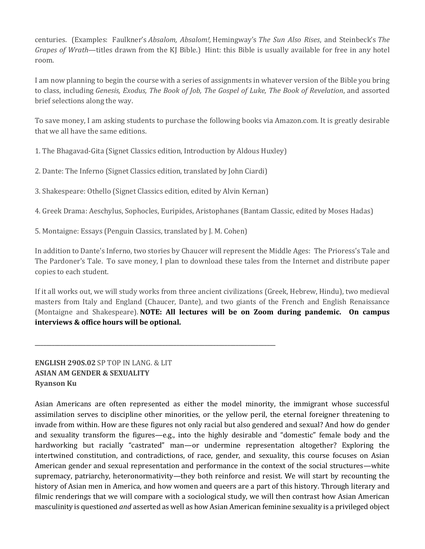centuries. (Examples: Faulkner's *Absalom, Absalom!,* Hemingway's *The Sun Also Rises*, and Steinbeck's *The Grapes of Wrath*—titles drawn from the KJ Bible.) Hint: this Bible is usually available for free in any hotel room.

I am now planning to begin the course with a series of assignments in whatever version of the Bible you bring to class, including *Genesis, Exodus, The Book of Job, The Gospel of Luke, The Book of Revelation*, and assorted brief selections along the way.

To save money, I am asking students to purchase the following books via Amazon.com. It is greatly desirable that we all have the same editions.

1. The Bhagavad-Gita (Signet Classics edition, Introduction by Aldous Huxley)

2. Dante: The Inferno (Signet Classics edition, translated by John Ciardi)

3. Shakespeare: Othello (Signet Classics edition, edited by Alvin Kernan)

**\_\_\_\_\_\_\_\_\_\_\_\_\_\_\_\_\_\_\_\_\_\_\_\_\_\_\_\_\_\_\_\_\_\_\_\_\_\_\_\_\_\_\_\_\_\_\_\_\_\_\_\_\_\_\_\_\_\_\_\_\_\_\_\_\_\_\_\_\_\_\_\_\_\_\_\_\_\_\_\_\_\_\_\_\_**

4. Greek Drama: Aeschylus, Sophocles, Euripides, Aristophanes (Bantam Classic, edited by Moses Hadas)

5. Montaigne: Essays (Penguin Classics, translated by J. M. Cohen)

In addition to Dante's Inferno, two stories by Chaucer will represent the Middle Ages: The Prioress's Tale and The Pardoner's Tale. To save money, I plan to download these tales from the Internet and distribute paper copies to each student.

If it all works out, we will study works from three ancient civilizations (Greek, Hebrew, Hindu), two medieval masters from Italy and England (Chaucer, Dante), and two giants of the French and English Renaissance (Montaigne and Shakespeare). **NOTE: All lectures will be on Zoom during pandemic.** On campus **interviews & office hours will be optional.**

**ENGLISH 290S.02** SP TOP IN LANG. & LIT **ASIAN AM GENDER & SEXUALITY Ryanson Ku**

Asian Americans are often represented as either the model minority, the immigrant whose successful assimilation serves to discipline other minorities, or the yellow peril, the eternal foreigner threatening to invade from within. How are these figures not only racial but also gendered and sexual? And how do gender and sexuality transform the figures—e.g., into the highly desirable and "domestic" female body and the hardworking but racially "castrated" man—or undermine representation altogether? Exploring the intertwined constitution, and contradictions, of race, gender, and sexuality, this course focuses on Asian American gender and sexual representation and performance in the context of the social structures—white supremacy, patriarchy, heteronormativity—they both reinforce and resist. We will start by recounting the history of Asian men in America, and how women and queers are a part of this history. Through literary and filmic renderings that we will compare with a sociological study, we will then contrast how Asian American masculinity is questioned *and* asserted as well as how Asian American feminine sexuality is a privileged object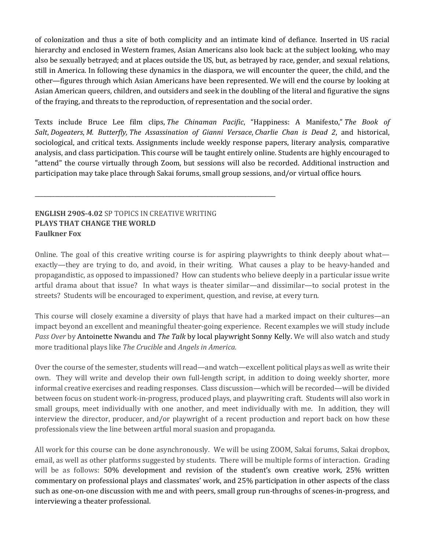of colonization and thus a site of both complicity and an intimate kind of defiance. Inserted in US racial hierarchy and enclosed in Western frames, Asian Americans also look back: at the subject looking, who may also be sexually betrayed; and at places outside the US, but, as betrayed by race, gender, and sexual relations, still in America. In following these dynamics in the diaspora, we will encounter the queer, the child, and the other—figures through which Asian Americans have been represented. We will end the course by looking at Asian American queers, children, and outsiders and seek in the doubling of the literal and figurative the signs of the fraying, and threats to the reproduction, of representation and the social order.

Texts include Bruce Lee film clips, *The Chinaman Pacific*, "Happiness: A Manifesto," *The Book of Salt*, *Dogeaters*, *M. Butterfly, The Assassination of Gianni Versace*, *Charlie Chan is Dead 2*, and historical, sociological, and critical texts. Assignments include weekly response papers, literary analysis, comparative analysis, and class participation. This course will be taught entirely online. Students are highly encouraged to "attend" the course virtually through Zoom, but sessions will also be recorded. Additional instruction and participation may take place through Sakai forums, small group sessions, and/or virtual office hours.

#### **ENGLISH 290S-4.02 SP TOPICS IN CREATIVE WRITING PLAYS THAT CHANGE THE WORLD Faulkner Fox**

**\_\_\_\_\_\_\_\_\_\_\_\_\_\_\_\_\_\_\_\_\_\_\_\_\_\_\_\_\_\_\_\_\_\_\_\_\_\_\_\_\_\_\_\_\_\_\_\_\_\_\_\_\_\_\_\_\_\_\_\_\_\_\_\_\_\_\_\_\_\_\_\_\_\_\_\_\_\_\_\_\_\_\_\_\_**

Online. The goal of this creative writing course is for aspiring playwrights to think deeply about what exactly—they are trying to do, and avoid, in their writing. What causes a play to be heavy-handed and propagandistic, as opposed to impassioned? How can students who believe deeply in a particular issue write artful drama about that issue? In what ways is theater similar—and dissimilar—to social protest in the streets? Students will be encouraged to experiment, question, and revise, at every turn.

This course will closely examine a diversity of plays that have had a marked impact on their cultures—an impact beyond an excellent and meaningful theater-going experience. Recent examples we will study include *Pass Over* by Antoinette Nwandu and *The Talk* by local playwright Sonny Kelly. We will also watch and study more traditional plays like *The Crucible* and *Angels in America.* 

Over the course of the semester, students will read—and watch—excellent political plays as well as write their own. They will write and develop their own full-length script, in addition to doing weekly shorter, more informal creative exercises and reading responses. Class discussion—which will be recorded—will be divided between focus on student work-in-progress, produced plays, and playwriting craft. Students will also work in small groups, meet individually with one another, and meet individually with me. In addition, they will interview the director, producer, and/or playwright of a recent production and report back on how these professionals view the line between artful moral suasion and propaganda.

All work for this course can be done asynchronously. We will be using ZOOM, Sakai forums, Sakai dropbox, email, as well as other platforms suggested by students. There will be multiple forms of interaction. Grading will be as follows: 50% development and revision of the student's own creative work, 25% written commentary on professional plays and classmates' work, and 25% participation in other aspects of the class such as one-on-one discussion with me and with peers, small group run-throughs of scenes-in-progress, and interviewing a theater professional.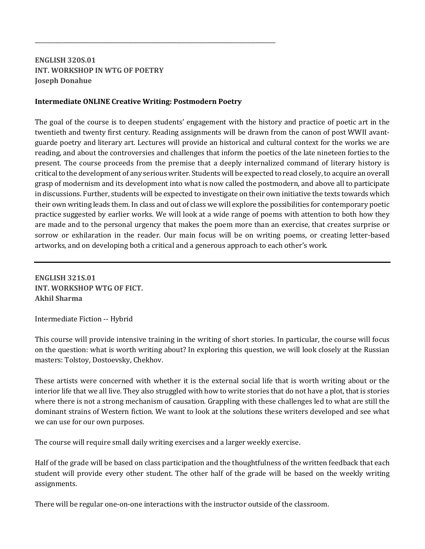# **ENGLISH 320S.01 INT. WORKSHOP IN WTG OF POETRY Joseph Donahue**

#### **Intermediate ONLINE Creative Writing: Postmodern Poetry**

**\_\_\_\_\_\_\_\_\_\_\_\_\_\_\_\_\_\_\_\_\_\_\_\_\_\_\_\_\_\_\_\_\_\_\_\_\_\_\_\_\_\_\_\_\_\_\_\_\_\_\_\_\_\_\_\_\_\_\_\_\_\_\_\_\_\_\_\_\_\_\_\_\_\_\_\_\_\_\_\_\_\_\_\_\_**

The goal of the course is to deepen students' engagement with the history and practice of poetic art in the twentieth and twenty first century. Reading assignments will be drawn from the canon of post WWII avantguarde poetry and literary art. Lectures will provide an historical and cultural context for the works we are reading, and about the controversies and challenges that inform the poetics of the late nineteen forties to the present. The course proceeds from the premise that a deeply internalized command of literary history is critical to the development of any serious writer. Students will be expected to read closely, to acquire an overall grasp of modernism and its development into what is now called the postmodern, and above all to participate in discussions. Further, students will be expected to investigate on their own initiative the texts towards which their own writing leads them. In class and out of class we will explore the possibilities for contemporary poetic practice suggested by earlier works. We will look at a wide range of poems with attention to both how they are made and to the personal urgency that makes the poem more than an exercise, that creates surprise or sorrow or exhilaration in the reader. Our main focus will be on writing poems, or creating letter-based artworks, and on developing both a critical and a generous approach to each other's work.

**ENGLISH 321S.01 INT. WORKSHOP WTG OF FICT. Akhil Sharma**

Intermediate Fiction -- Hybrid

This course will provide intensive training in the writing of short stories. In particular, the course will focus on the question: what is worth writing about? In exploring this question, we will look closely at the Russian masters: Tolstoy, Dostoevsky, Chekhov.

These artists were concerned with whether it is the external social life that is worth writing about or the interior life that we all live. They also struggled with how to write stories that do not have a plot, that is stories where there is not a strong mechanism of causation. Grappling with these challenges led to what are still the dominant strains of Western fiction. We want to look at the solutions these writers developed and see what we can use for our own purposes.

The course will require small daily writing exercises and a larger weekly exercise.

Half of the grade will be based on class participation and the thoughtfulness of the written feedback that each student will provide every other student. The other half of the grade will be based on the weekly writing assignments.

There will be regular one-on-one interactions with the instructor outside of the classroom.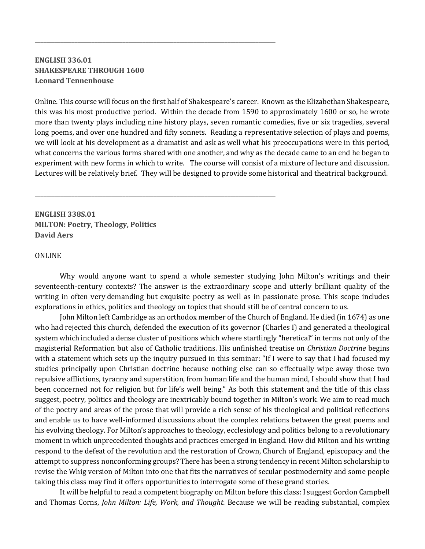#### **ENGLISH 336.01 SHAKESPEARE THROUGH 1600 Leonard Tennenhouse**

**\_\_\_\_\_\_\_\_\_\_\_\_\_\_\_\_\_\_\_\_\_\_\_\_\_\_\_\_\_\_\_\_\_\_\_\_\_\_\_\_\_\_\_\_\_\_\_\_\_\_\_\_\_\_\_\_\_\_\_\_\_\_\_\_\_\_\_\_\_\_\_\_\_\_\_\_\_\_\_\_\_\_\_\_\_**

**\_\_\_\_\_\_\_\_\_\_\_\_\_\_\_\_\_\_\_\_\_\_\_\_\_\_\_\_\_\_\_\_\_\_\_\_\_\_\_\_\_\_\_\_\_\_\_\_\_\_\_\_\_\_\_\_\_\_\_\_\_\_\_\_\_\_\_\_\_\_\_\_\_\_\_\_\_\_\_\_\_\_\_\_\_**

Online. This course will focus on the first half of Shakespeare's career. Known as the Elizabethan Shakespeare, this was his most productive period. Within the decade from 1590 to approximately 1600 or so, he wrote more than twenty plays including nine history plays, seven romantic comedies, five or six tragedies, several long poems, and over one hundred and fifty sonnets. Reading a representative selection of plays and poems, we will look at his development as a dramatist and ask as well what his preoccupations were in this period, what concerns the various forms shared with one another, and why as the decade came to an end he began to experiment with new forms in which to write. The course will consist of a mixture of lecture and discussion. Lectures will be relatively brief. They will be designed to provide some historical and theatrical background.

**ENGLISH 338S.01 MILTON: Poetry, Theology, Politics David Aers**

#### ONLINE

Why would anyone want to spend a whole semester studying John Milton's writings and their seventeenth-century contexts? The answer is the extraordinary scope and utterly brilliant quality of the writing in often very demanding but exquisite poetry as well as in passionate prose. This scope includes explorations in ethics, politics and theology on topics that should still be of central concern to us.

John Milton left Cambridge as an orthodox member of the Church of England. He died (in 1674) as one who had rejected this church, defended the execution of its governor (Charles I) and generated a theological system which included a dense cluster of positions which where startlingly "heretical" in terms not only of the magisterial Reformation but also of Catholic traditions. His unfinished treatise on *Christian Doctrine* begins with a statement which sets up the inquiry pursued in this seminar: "If I were to say that I had focused my studies principally upon Christian doctrine because nothing else can so effectually wipe away those two repulsive afflictions, tyranny and superstition, from human life and the human mind, I should show that I had been concerned not for religion but for life's well being." As both this statement and the title of this class suggest, poetry, politics and theology are inextricably bound together in Milton's work. We aim to read much of the poetry and areas of the prose that will provide a rich sense of his theological and political reflections and enable us to have well-informed discussions about the complex relations between the great poems and his evolving theology. For Milton's approaches to theology, ecclesiology and politics belong to a revolutionary moment in which unprecedented thoughts and practices emerged in England. How did Milton and his writing respond to the defeat of the revolution and the restoration of Crown, Church of England, episcopacy and the attempt to suppress nonconforming groups? There has been a strong tendency in recent Milton scholarship to revise the Whig version of Milton into one that fits the narratives of secular postmodernity and some people taking this class may find it offers opportunities to interrogate some of these grand stories.

It will be helpful to read a competent biography on Milton before this class: I suggest Gordon Campbell and Thomas Corns, *John Milton: Life, Work, and Thought*. Because we will be reading substantial, complex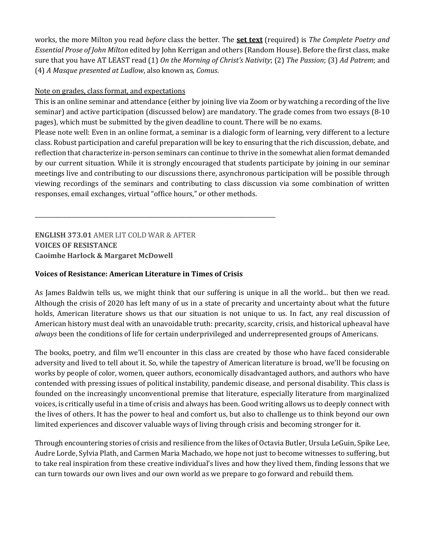works, the more Milton you read *before* class the better. The **set text** (required) is *The Complete Poetry and Essential Prose of John Milton* edited by John Kerrigan and others (Random House). Before the first class, make sure that you have AT LEAST read (1) On the Morning of Christ's Nativity; (2) The Passion; (3) Ad Patrem; and (4) *A Masque presented at Ludlow*, also known as, *Comus*.

#### Note on grades, class format, and expectations

This is an online seminar and attendance (either by joining live via Zoom or by watching a recording of the live seminar) and active participation (discussed below) are mandatory. The grade comes from two essays (8-10 pages), which must be submitted by the given deadline to count. There will be no exams.

Please note well: Even in an online format, a seminar is a dialogic form of learning, very different to a lecture class. Robust participation and careful preparation will be key to ensuring that the rich discussion, debate, and reflection that characterize in-person seminars can continue to thrive in the somewhat alien format demanded by our current situation. While it is strongly encouraged that students participate by joining in our seminar meetings live and contributing to our discussions there, asynchronous participation will be possible through viewing recordings of the seminars and contributing to class discussion via some combination of written responses, email exchanges, virtual "office hours," or other methods.

**ENGLISH 373.01 AMER LIT COLD WAR & AFTER VOICES OF RESISTANCE Caoimhe Harlock & Margaret McDowell** 

#### **Voices of Resistance: American Literature in Times of Crisis**

**\_\_\_\_\_\_\_\_\_\_\_\_\_\_\_\_\_\_\_\_\_\_\_\_\_\_\_\_\_\_\_\_\_\_\_\_\_\_\_\_\_\_\_\_\_\_\_\_\_\_\_\_\_\_\_\_\_\_\_\_\_\_\_\_\_\_\_\_\_\_\_\_\_\_\_\_\_\_\_\_\_\_\_\_\_**

As James Baldwin tells us, we might think that our suffering is unique in all the world... but then we read. Although the crisis of 2020 has left many of us in a state of precarity and uncertainty about what the future holds, American literature shows us that our situation is not unique to us. In fact, any real discussion of American history must deal with an unavoidable truth: precarity, scarcity, crisis, and historical upheaval have *always* been the conditions of life for certain underprivileged and underrepresented groups of Americans.

The books, poetry, and film we'll encounter in this class are created by those who have faced considerable adversity and lived to tell about it. So, while the tapestry of American literature is broad, we'll be focusing on works by people of color, women, queer authors, economically disadvantaged authors, and authors who have contended with pressing issues of political instability, pandemic disease, and personal disability. This class is founded on the increasingly unconventional premise that literature, especially literature from marginalized voices, is critically useful in a time of crisis and always has been. Good writing allows us to deeply connect with the lives of others. It has the power to heal and comfort us, but also to challenge us to think beyond our own limited experiences and discover valuable ways of living through crisis and becoming stronger for it.

Through encountering stories of crisis and resilience from the likes of Octavia Butler, Ursula LeGuin, Spike Lee, Audre Lorde, Sylvia Plath, and Carmen Maria Machado, we hope not just to become witnesses to suffering, but to take real inspiration from these creative individual's lives and how they lived them, finding lessons that we can turn towards our own lives and our own world as we prepare to go forward and rebuild them.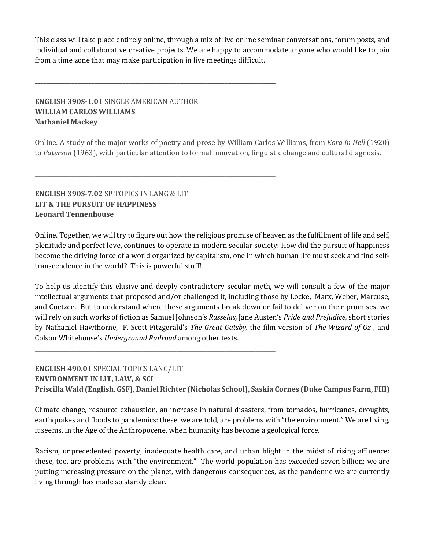This class will take place entirely online, through a mix of live online seminar conversations, forum posts, and individual and collaborative creative projects. We are happy to accommodate anyone who would like to join from a time zone that may make participation in live meetings difficult.

# **ENGLISH 390S-1.01 SINGLE AMERICAN AUTHOR WILLIAM CARLOS WILLIAMS Nathaniel Mackey**

**\_\_\_\_\_\_\_\_\_\_\_\_\_\_\_\_\_\_\_\_\_\_\_\_\_\_\_\_\_\_\_\_\_\_\_\_\_\_\_\_\_\_\_\_\_\_\_\_\_\_\_\_\_\_\_\_\_\_\_\_\_\_\_\_\_\_\_\_\_\_\_\_\_\_\_\_\_\_\_\_\_\_\_\_\_**

**\_\_\_\_\_\_\_\_\_\_\_\_\_\_\_\_\_\_\_\_\_\_\_\_\_\_\_\_\_\_\_\_\_\_\_\_\_\_\_\_\_\_\_\_\_\_\_\_\_\_\_\_\_\_\_\_\_\_\_\_\_\_\_\_\_\_\_\_\_\_\_\_\_\_\_\_\_\_\_\_\_\_\_\_\_**

**\_\_\_\_\_\_\_\_\_\_\_\_\_\_\_\_\_\_\_\_\_\_\_\_\_\_\_\_\_\_\_\_\_\_\_\_\_\_\_\_\_\_\_\_\_\_\_\_\_\_\_\_\_\_\_\_\_\_\_\_\_\_\_\_\_\_\_\_\_\_\_\_\_\_\_\_\_\_\_\_\_\_\_\_\_**

Online. A study of the major works of poetry and prose by William Carlos Williams, from *Kora in Hell* (1920) to *Paterson* (1963), with particular attention to formal innovation, linguistic change and cultural diagnosis.

#### **ENGLISH 390S-7.02 SP TOPICS IN LANG & LIT LIT & THE PURSUIT OF HAPPINESS Leonard Tennenhouse**

Online. Together, we will try to figure out how the religious promise of heaven as the fulfillment of life and self, plenitude and perfect love, continues to operate in modern secular society: How did the pursuit of happiness become the driving force of a world organized by capitalism, one in which human life must seek and find selftranscendence in the world? This is powerful stuff!

To help us identify this elusive and deeply contradictory secular myth, we will consult a few of the major intellectual arguments that proposed and/or challenged it, including those by Locke, Marx, Weber, Marcuse, and Coetzee. But to understand where these arguments break down or fail to deliver on their promises, we will rely on such works of fiction as Samuel Johnson's *Rasselas*, Jane Austen's *Pride and Prejudice*, short stories by Nathaniel Hawthorne, F. Scott Fitzgerald's *The Great Gatsby*, the film version of *The Wizard of Oz*, and Colson Whitehouse's *Underground Railroad* among other texts.

# **ENGLISH 490.01 SPECIAL TOPICS LANG/LIT ENVIRONMENT IN LIT, LAW, & SCI Priscilla Wald (English, GSF), Daniel Richter (Nicholas School), Saskia Cornes (Duke Campus Farm, FHI)**

Climate change, resource exhaustion, an increase in natural disasters, from tornados, hurricanes, droughts, earthquakes and floods to pandemics: these, we are told, are problems with "the environment." We are living, it seems, in the Age of the Anthropocene, when humanity has become a geological force.

Racism, unprecedented poverty, inadequate health care, and urban blight in the midst of rising affluence: these, too, are problems with "the environment." The world population has exceeded seven billion; we are putting increasing pressure on the planet, with dangerous consequences, as the pandemic we are currently living through has made so starkly clear.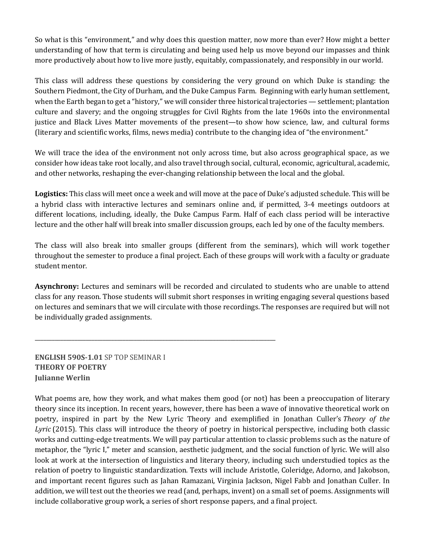So what is this "environment," and why does this question matter, now more than ever? How might a better understanding of how that term is circulating and being used help us move beyond our impasses and think more productively about how to live more justly, equitably, compassionately, and responsibly in our world.

This class will address these questions by considering the very ground on which Duke is standing: the Southern Piedmont, the City of Durham, and the Duke Campus Farm. Beginning with early human settlement, when the Earth began to get a "history," we will consider three historical trajectories — settlement; plantation culture and slavery; and the ongoing struggles for Civil Rights from the late 1960s into the environmental justice and Black Lives Matter movements of the present—to show how science, law, and cultural forms (literary and scientific works, films, news media) contribute to the changing idea of "the environment."

We will trace the idea of the environment not only across time, but also across geographical space, as we consider how ideas take root locally, and also travel through social, cultural, economic, agricultural, academic, and other networks, reshaping the ever-changing relationship between the local and the global.

**Logistics:** This class will meet once a week and will move at the pace of Duke's adjusted schedule. This will be a hybrid class with interactive lectures and seminars online and, if permitted, 3-4 meetings outdoors at different locations, including, ideally, the Duke Campus Farm. Half of each class period will be interactive lecture and the other half will break into smaller discussion groups, each led by one of the faculty members.

The class will also break into smaller groups (different from the seminars), which will work together throughout the semester to produce a final project. Each of these groups will work with a faculty or graduate student mentor.

**Asynchrony:** Lectures and seminars will be recorded and circulated to students who are unable to attend class for any reason. Those students will submit short responses in writing engaging several questions based on lectures and seminars that we will circulate with those recordings. The responses are required but will not be individually graded assignments.

**ENGLISH 590S-1.01** SP TOP SEMINAR I **THEORY OF POETRY Julianne Werlin**

**\_\_\_\_\_\_\_\_\_\_\_\_\_\_\_\_\_\_\_\_\_\_\_\_\_\_\_\_\_\_\_\_\_\_\_\_\_\_\_\_\_\_\_\_\_\_\_\_\_\_\_\_\_\_\_\_\_\_\_\_\_\_\_\_\_\_\_\_\_\_\_\_\_\_\_\_\_\_\_\_\_\_\_\_\_**

What poems are, how they work, and what makes them good (or not) has been a preoccupation of literary theory since its inception. In recent years, however, there has been a wave of innovative theoretical work on poetry, inspired in part by the New Lyric Theory and exemplified in Jonathan Culler's *Theory of the Lyric* (2015). This class will introduce the theory of poetry in historical perspective, including both classic works and cutting-edge treatments. We will pay particular attention to classic problems such as the nature of metaphor, the "lyric I," meter and scansion, aesthetic judgment, and the social function of lyric. We will also look at work at the intersection of linguistics and literary theory, including such understudied topics as the relation of poetry to linguistic standardization. Texts will include Aristotle, Coleridge, Adorno, and Jakobson, and important recent figures such as Jahan Ramazani, Virginia Jackson, Nigel Fabb and Jonathan Culler. In addition, we will test out the theories we read (and, perhaps, invent) on a small set of poems. Assignments will include collaborative group work, a series of short response papers, and a final project.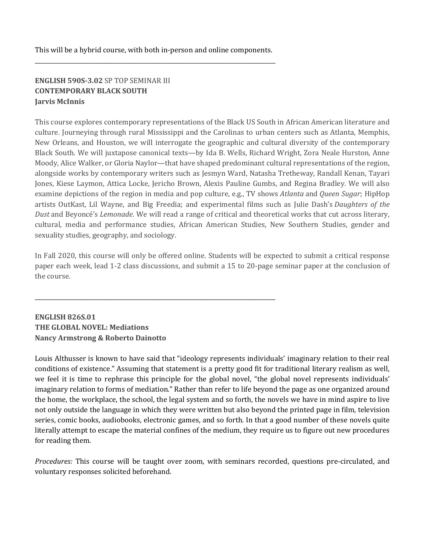This will be a hybrid course, with both in-person and online components. **\_\_\_\_\_\_\_\_\_\_\_\_\_\_\_\_\_\_\_\_\_\_\_\_\_\_\_\_\_\_\_\_\_\_\_\_\_\_\_\_\_\_\_\_\_\_\_\_\_\_\_\_\_\_\_\_\_\_\_\_\_\_\_\_\_\_\_\_\_\_\_\_\_\_\_\_\_\_\_\_\_\_\_\_\_**

**\_\_\_\_\_\_\_\_\_\_\_\_\_\_\_\_\_\_\_\_\_\_\_\_\_\_\_\_\_\_\_\_\_\_\_\_\_\_\_\_\_\_\_\_\_\_\_\_\_\_\_\_\_\_\_\_\_\_\_\_\_\_\_\_\_\_\_\_\_\_\_\_\_\_\_\_\_\_\_\_\_\_\_\_\_**

# **ENGLISH 590S-3.02 SP TOP SEMINAR III CONTEMPORARY BLACK SOUTH Jarvis McInnis**

This course explores contemporary representations of the Black US South in African American literature and culture. Journeying through rural Mississippi and the Carolinas to urban centers such as Atlanta, Memphis, New Orleans, and Houston, we will interrogate the geographic and cultural diversity of the contemporary Black South. We will juxtapose canonical texts—by Ida B. Wells, Richard Wright, Zora Neale Hurston, Anne Moody, Alice Walker, or Gloria Naylor—that have shaped predominant cultural representations of the region, alongside works by contemporary writers such as Jesmyn Ward, Natasha Tretheway, Randall Kenan, Tayari Jones, Kiese Laymon, Attica Locke, Jericho Brown, Alexis Pauline Gumbs, and Regina Bradley. We will also examine depictions of the region in media and pop culture, e.g., TV shows *Atlanta* and *Queen Sugar*; HipHop artists OutKast, Lil Wayne, and Big Freedia; and experimental films such as Julie Dash's *Daughters of the Dust* and Beyoncé's *Lemonade*. We will read a range of critical and theoretical works that cut across literary, cultural, media and performance studies, African American Studies, New Southern Studies, gender and sexuality studies, geography, and sociology.

In Fall 2020, this course will only be offered online. Students will be expected to submit a critical response paper each week, lead 1-2 class discussions, and submit a 15 to 20-page seminar paper at the conclusion of the course.

# **ENGLISH 826S.01 THE GLOBAL NOVEL: Mediations Nancy Armstrong & Roberto Dainotto**

Louis Althusser is known to have said that "ideology represents individuals' imaginary relation to their real conditions of existence." Assuming that statement is a pretty good fit for traditional literary realism as well, we feel it is time to rephrase this principle for the global novel, "the global novel represents individuals' imaginary relation to forms of mediation." Rather than refer to life beyond the page as one organized around the home, the workplace, the school, the legal system and so forth, the novels we have in mind aspire to live not only outside the language in which they were written but also beyond the printed page in film, television series, comic books, audiobooks, electronic games, and so forth. In that a good number of these novels quite literally attempt to escape the material confines of the medium, they require us to figure out new procedures for reading them.

*Procedures:* This course will be taught over zoom, with seminars recorded, questions pre-circulated, and voluntary responses solicited beforehand.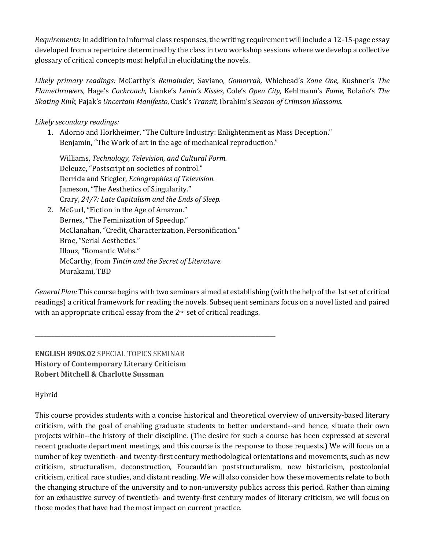*Requirements:* In addition to informal class responses, the writing requirement will include a 12-15-page essay developed from a repertoire determined by the class in two workshop sessions where we develop a collective glossary of critical concepts most helpful in elucidating the novels.

Likely primary readings: McCarthy's *Remainder*, Saviano, *Gomorrah*, Whiehead's *Zone One*, Kushner's The *Flamethrowers,* Hage's *Cockroach,* Lianke's *Lenin's Kisses,* Cole's *Open City,* Kehlmann's *Fame,* Bolaño's *The Skating Rink,* Pajak's *Uncertain Manifesto*, Cusk's *Transit,* Ibrahim's *Season of Crimson Blossoms.*

#### *Likely secondary readings:*

1. Adorno and Horkheimer, "The Culture Industry: Enlightenment as Mass Deception." Benjamin, "The Work of art in the age of mechanical reproduction."

Williams, Technology, Television, and Cultural Form. Deleuze, "Postscript on societies of control." Derrida and Stiegler, *Echographies of Television.* Jameson, "The Aesthetics of Singularity." Crary, 24/7: Late Capitalism and the Ends of Sleep.

2. McGurl, "Fiction in the Age of Amazon." Bernes, "The Feminization of Speedup." McClanahan, "Credit, Characterization, Personification." Broe, "Serial Aesthetics." Illouz, "Romantic Webs." McCarthy, from Tintin and the Secret of Literature. Murakami, TBD

**\_\_\_\_\_\_\_\_\_\_\_\_\_\_\_\_\_\_\_\_\_\_\_\_\_\_\_\_\_\_\_\_\_\_\_\_\_\_\_\_\_\_\_\_\_\_\_\_\_\_\_\_\_\_\_\_\_\_\_\_\_\_\_\_\_\_\_\_\_\_\_\_\_\_\_\_\_\_\_\_\_\_\_\_\_**

*General Plan:* This course begins with two seminars aimed at establishing (with the help of the 1st set of critical readings) a critical framework for reading the novels. Subsequent seminars focus on a novel listed and paired with an appropriate critical essay from the  $2<sup>nd</sup>$  set of critical readings.

**ENGLISH 890S.02** SPECIAL TOPICS SEMINAR **History of Contemporary Literary Criticism Robert Mitchell & Charlotte Sussman**

Hybrid

This course provides students with a concise historical and theoretical overview of university-based literary criticism, with the goal of enabling graduate students to better understand--and hence, situate their own projects within--the history of their discipline. (The desire for such a course has been expressed at several recent graduate department meetings, and this course is the response to those requests.) We will focus on a number of key twentieth- and twenty-first century methodological orientations and movements, such as new criticism, structuralism, deconstruction, Foucauldian poststructuralism, new historicism, postcolonial criticism, critical race studies, and distant reading. We will also consider how these movements relate to both the changing structure of the university and to non-university publics across this period. Rather than aiming for an exhaustive survey of twentieth- and twenty-first century modes of literary criticism, we will focus on those modes that have had the most impact on current practice.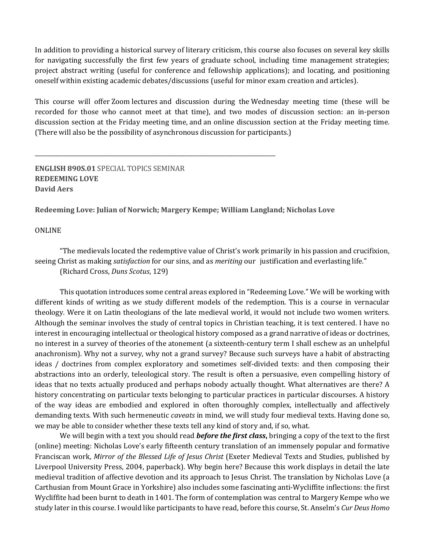In addition to providing a historical survey of literary criticism, this course also focuses on several key skills for navigating successfully the first few years of graduate school, including time management strategies; project abstract writing (useful for conference and fellowship applications); and locating, and positioning oneself within existing academic debates/discussions (useful for minor exam creation and articles).

This course will offer Zoom lectures and discussion during the Wednesday meeting time (these will be recorded for those who cannot meet at that time), and two modes of discussion section: an in-person discussion section at the Friday meeting time, and an online discussion section at the Friday meeting time. (There will also be the possibility of asynchronous discussion for participants.)

**ENGLISH 890S.01** SPECIAL TOPICS SEMINAR **REDEEMING LOVE David Aers**

Redeeming Love: Julian of Norwich; Margery Kempe; William Langland; Nicholas Love

**\_\_\_\_\_\_\_\_\_\_\_\_\_\_\_\_\_\_\_\_\_\_\_\_\_\_\_\_\_\_\_\_\_\_\_\_\_\_\_\_\_\_\_\_\_\_\_\_\_\_\_\_\_\_\_\_\_\_\_\_\_\_\_\_\_\_\_\_\_\_\_\_\_\_\_\_\_\_\_\_\_\_\_\_\_**

#### **ONLINE**

"The medievals located the redemptive value of Christ's work primarily in his passion and crucifixion, seeing Christ as making *satisfaction* for our sins, and as *meriting* our justification and everlasting life." (Richard Cross, *Duns Scotus*, 129)

This quotation introduces some central areas explored in "Redeeming Love." We will be working with different kinds of writing as we study different models of the redemption. This is a course in vernacular theology. Were it on Latin theologians of the late medieval world, it would not include two women writers. Although the seminar involves the study of central topics in Christian teaching, it is text centered. I have no interest in encouraging intellectual or theological history composed as a grand narrative of ideas or doctrines, no interest in a survey of theories of the atonement (a sixteenth-century term I shall eschew as an unhelpful anachronism). Why not a survey, why not a grand survey? Because such surveys have a habit of abstracting ideas / doctrines from complex exploratory and sometimes self-divided texts: and then composing their abstractions into an orderly, teleological story. The result is often a persuasive, even compelling history of ideas that no texts actually produced and perhaps nobody actually thought. What alternatives are there? A history concentrating on particular texts belonging to particular practices in particular discourses. A history of the way ideas are embodied and explored in often thoroughly complex, intellectually and affectively demanding texts. With such hermeneutic *caveats* in mind, we will study four medieval texts. Having done so, we may be able to consider whether these texts tell any kind of story and, if so, what.

We will begin with a text you should read *before the first class*, bringing a copy of the text to the first (online) meeting: Nicholas Love's early fifteenth century translation of an immensely popular and formative Franciscan work, *Mirror of the Blessed Life of Jesus Christ* (Exeter Medieval Texts and Studies, published by Liverpool University Press, 2004, paperback). Why begin here? Because this work displays in detail the late medieval tradition of affective devotion and its approach to Jesus Christ. The translation by Nicholas Love (a Carthusian from Mount Grace in Yorkshire) also includes some fascinating anti-Wycliffite inflections: the first Wycliffite had been burnt to death in 1401. The form of contemplation was central to Margery Kempe who we study later in this course. I would like participants to have read, before this course, St. Anselm's *Cur Deus Homo*